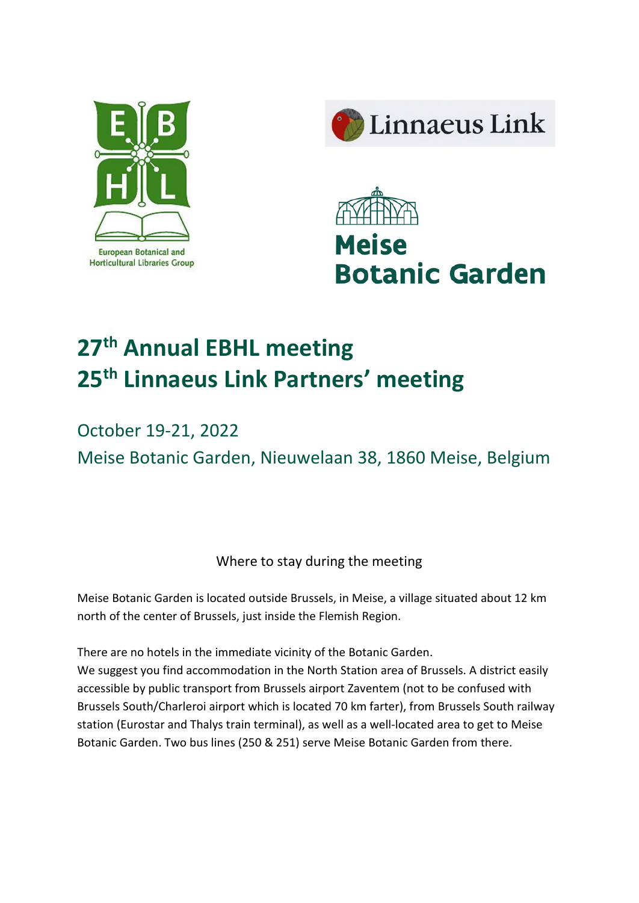





# **27th Annual EBHL meeting 25th Linnaeus Link Partners' meeting**

# October 19-21, 2022 Meise Botanic Garden, Nieuwelaan 38, 1860 Meise, Belgium

Where to stay during the meeting

Meise Botanic Garden is located outside Brussels, in Meise, a village situated about 12 km north of the center of Brussels, just inside the Flemish Region.

There are no hotels in the immediate vicinity of the Botanic Garden.

We suggest you find accommodation in the North Station area of Brussels. A district easily accessible by public transport from Brussels airport Zaventem (not to be confused with Brussels South/Charleroi airport which is located 70 km farter), from Brussels South railway station (Eurostar and Thalys train terminal), as well as a well-located area to get to Meise Botanic Garden. Two bus lines (250 & 251) serve Meise Botanic Garden from there.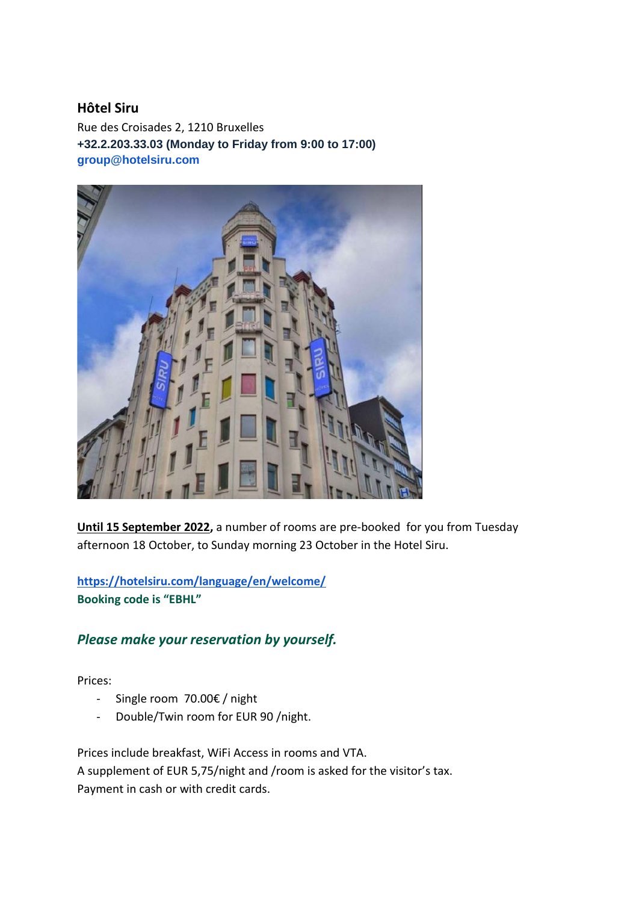#### **Hôtel Siru**

Rue des Croisades 2, 1210 Bruxelles **+32.2.203.33.03 (Monday to Friday from 9:00 to 17:00) group@hotelsiru.com**



**Until 15 September 2022,** a number of rooms are pre-booked for you from Tuesday afternoon 18 October, to Sunday morning 23 October in the Hotel Siru.

**<https://hotelsiru.com/language/en/welcome/> Booking code is "EBHL"**

## *Please make your reservation by yourself.*

Prices:

- Single room 70.00€ / night
- Double/Twin room for EUR 90 /night.

Prices include breakfast, WiFi Access in rooms and VTA. A supplement of EUR 5,75/night and /room is asked for the visitor's tax. Payment in cash or with credit cards.